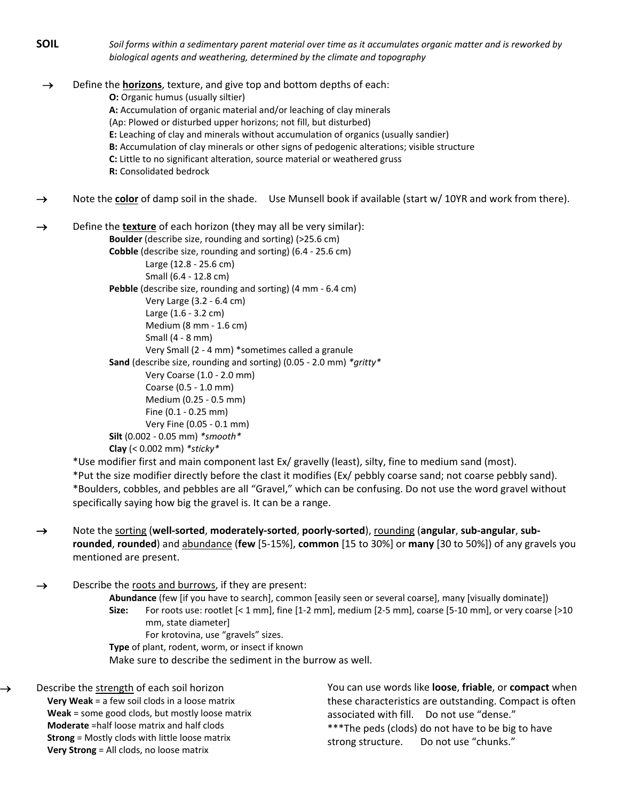**SOIL** *Soil forms within a sedimentary parent material over time as it accumulates organic matter and is reworked by biological agents and weathering, determined by the climate and topography*

→ Define the **horizons**, texture, and give top and bottom depths of each: **O:** Organic humus (usually siltier) **A:** Accumulation of organic material and/or leaching of clay minerals (Ap: Plowed or disturbed upper horizons; not fill, but disturbed) **E:** Leaching of clay and minerals without accumulation of organics (usually sandier) **B:** Accumulation of clay minerals or other signs of pedogenic alterations; visible structure **C:** Little to no significant alteration, source material or weathered gruss **R:** Consolidated bedrock

→ Note the **color** of damp soil in the shade. Use Munsell book if available (start w/ 10YR and work from there).

→ Define the **texture** of each horizon (they may all be very similar): **Boulder** (describe size, rounding and sorting) (>25.6 cm) **Cobble** (describe size, rounding and sorting) (6.4 - 25.6 cm) Large (12.8 - 25.6 cm) Small (6.4 - 12.8 cm) **Pebble** (describe size, rounding and sorting) (4 mm - 6.4 cm) Very Large (3.2 - 6.4 cm) Large (1.6 - 3.2 cm) Medium (8 mm - 1.6 cm) Small (4 - 8 mm) Very Small (2 - 4 mm) \*sometimes called a granule **Sand** (describe size, rounding and sorting) (0.05 - 2.0 mm) *\*gritty\** Very Coarse (1.0 - 2.0 mm) Coarse (0.5 - 1.0 mm) Medium (0.25 - 0.5 mm) Fine (0.1 - 0.25 mm) Very Fine (0.05 - 0.1 mm) **Silt** (0.002 - 0.05 mm) *\*smooth\** **Clay** (< 0.002 mm) *\*sticky\**

\*Use modifier first and main component last Ex/ gravelly (least), silty, fine to medium sand (most). \*Put the size modifier directly before the clast it modifies (Ex/ pebbly coarse sand; not coarse pebbly sand). \*Boulders, cobbles, and pebbles are all "Gravel," which can be confusing. Do not use the word gravel without specifically saying how big the gravel is. It can be a range.

→ Note the sorting (**well-sorted**, **moderately-sorted**, **poorly-sorted**), rounding (**angular**, **sub-angular**, **subrounded**, **rounded**) and abundance (**few** [5-15%], **common** [15 to 30%] or **many** [30 to 50%]) of any gravels you mentioned are present.

 $\rightarrow$  Describe the roots and burrows, if they are present:

**Abundance** (few [if you have to search], common [easily seen or several coarse], many [visually dominate]) **Size:** For roots use: rootlet [< 1 mm], fine [1-2 mm], medium [2-5 mm], coarse [5-10 mm], or very coarse [>10 mm, state diameter] For krotovina, use "gravels" sizes.

**Type** of plant, rodent, worm, or insect if known

Make sure to describe the sediment in the burrow as well.

Describe the strength of each soil horizon  **Very Weak** = a few soil clods in a loose matrix  **Weak** = some good clods, but mostly loose matrix  **Moderate** =half loose matrix and half clods  **Strong** = Mostly clods with little loose matrix  **Very Strong** = All clods, no loose matrix

You can use words like **loose**, **friable**, or **compact** when these characteristics are outstanding. Compact is often associated with fill. Do not use "dense." \*\*\*The peds (clods) do not have to be big to have strong structure. Do not use "chunks."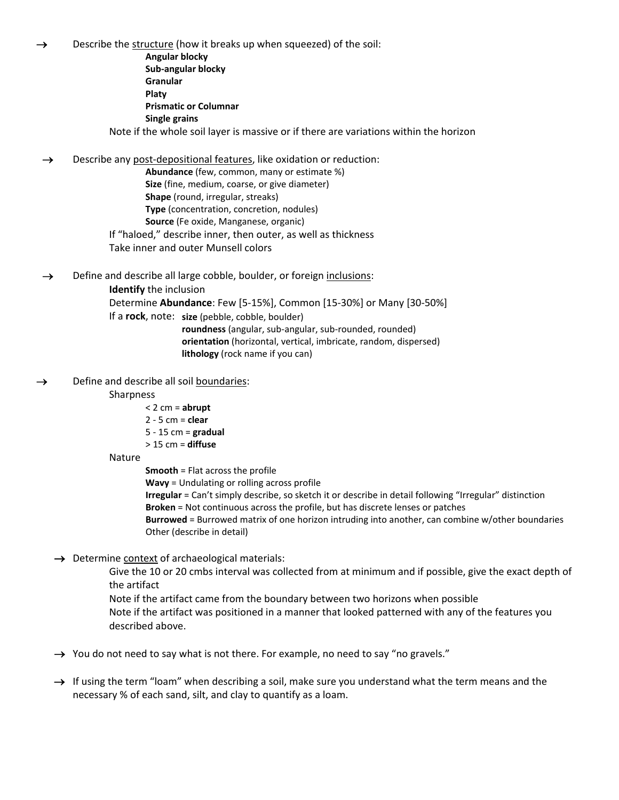Describe the structure (how it breaks up when squeezed) of the soil:

**Angular blocky Sub-angular blocky Granular Platy Prismatic or Columnar Single grains** Note if the whole soil layer is massive or if there are variations within the horizon

 $\rightarrow$  Describe any post-depositional features, like oxidation or reduction:

**Abundance** (few, common, many or estimate %) **Size** (fine, medium, coarse, or give diameter) **Shape** (round, irregular, streaks) **Type** (concentration, concretion, nodules) **Source** (Fe oxide, Manganese, organic) If "haloed," describe inner, then outer, as well as thickness Take inner and outer Munsell colors

→ Define and describe all large cobble, boulder, or foreign inclusions: **Identify** the inclusion Determine **Abundance**: Few [5-15%], Common [15-30%] or Many [30-50%] If a **rock**, note: **size** (pebble, cobble, boulder)

**roundness** (angular, sub-angular, sub-rounded, rounded) **orientation** (horizontal, vertical, imbricate, random, dispersed) **lithology** (rock name if you can)

 $\rightarrow$  Define and describe all soil boundaries:

## **Sharpness**

- < 2 cm = **abrupt**
- 2 5 cm = **clear**
- 5 15 cm = **gradual**
- > 15 cm = **diffuse**
- Nature

**Smooth** = Flat across the profile

**Wavy** = Undulating or rolling across profile

**Irregular** = Can't simply describe, so sketch it or describe in detail following "Irregular" distinction **Broken** = Not continuous across the profile, but has discrete lenses or patches

**Burrowed** = Burrowed matrix of one horizon intruding into another, can combine w/other boundaries Other (describe in detail)

→ Determine context of archaeological materials:

Give the 10 or 20 cmbs interval was collected from at minimum and if possible, give the exact depth of the artifact

Note if the artifact came from the boundary between two horizons when possible Note if the artifact was positioned in a manner that looked patterned with any of the features you described above.

→ You do not need to say what is not there. For example, no need to say "no gravels."

 $\rightarrow$  If using the term "loam" when describing a soil, make sure you understand what the term means and the necessary % of each sand, silt, and clay to quantify as a loam.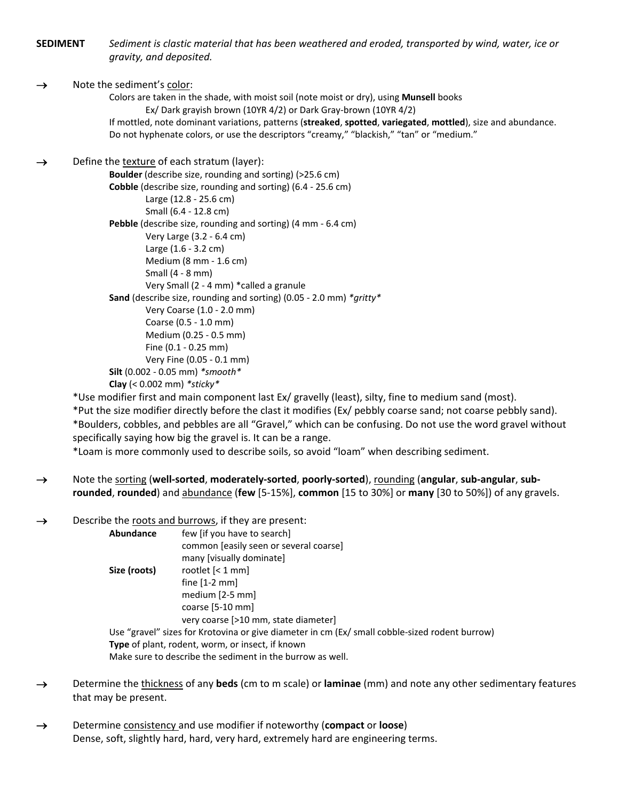**SEDIMENT** *Sediment is clastic material that has been weathered and eroded, transported by wind, water, ice or gravity, and deposited.*

## $\rightarrow$  Note the sediment's color:

Colors are taken in the shade, with moist soil (note moist or dry), using **Munsell** books Ex/ Dark grayish brown (10YR 4/2) or Dark Gray-brown (10YR 4/2) If mottled, note dominant variations, patterns (**streaked**, **spotted**, **variegated**, **mottled**), size and abundance. Do not hyphenate colors, or use the descriptors "creamy," "blackish," "tan" or "medium."

 $\rightarrow$  Define the texture of each stratum (layer):

**Boulder** (describe size, rounding and sorting) (>25.6 cm) **Cobble** (describe size, rounding and sorting) (6.4 - 25.6 cm) Large (12.8 - 25.6 cm) Small (6.4 - 12.8 cm) **Pebble** (describe size, rounding and sorting) (4 mm - 6.4 cm) Very Large (3.2 - 6.4 cm) Large (1.6 - 3.2 cm) Medium (8 mm - 1.6 cm) Small (4 - 8 mm) Very Small (2 - 4 mm) \*called a granule **Sand** (describe size, rounding and sorting) (0.05 - 2.0 mm) *\*gritty\** Very Coarse (1.0 - 2.0 mm) Coarse (0.5 - 1.0 mm) Medium (0.25 - 0.5 mm) Fine (0.1 - 0.25 mm) Very Fine (0.05 - 0.1 mm) **Silt** (0.002 - 0.05 mm) *\*smooth\** **Clay** (< 0.002 mm) *\*sticky\**

\*Use modifier first and main component last Ex/ gravelly (least), silty, fine to medium sand (most). \*Put the size modifier directly before the clast it modifies (Ex/ pebbly coarse sand; not coarse pebbly sand). \*Boulders, cobbles, and pebbles are all "Gravel," which can be confusing. Do not use the word gravel without specifically saying how big the gravel is. It can be a range.

\*Loam is more commonly used to describe soils, so avoid "loam" when describing sediment.

→ Note the sorting (**well-sorted**, **moderately-sorted**, **poorly-sorted**), rounding (**angular**, **sub-angular**, **subrounded**, **rounded**) and abundance (**few** [5-15%], **common** [15 to 30%] or **many** [30 to 50%]) of any gravels.

 $\rightarrow$  Describe the roots and burrows, if they are present:

| Abundance    | few [if you have to search]                                                                    |
|--------------|------------------------------------------------------------------------------------------------|
|              | common [easily seen or several coarse]                                                         |
|              | many [visually dominate]                                                                       |
| Size (roots) | rootlet $\left[ < 1 \right]$ mm                                                                |
|              | fine $[1-2$ mm                                                                                 |
|              | medium $[2-5$ mm                                                                               |
|              | coarse $[5-10$ mm                                                                              |
|              | very coarse [>10 mm, state diameter]                                                           |
|              | Use "gravel" sizes for Krotovina or give diameter in cm (Ex/ small cobble-sized rodent burrow) |
|              | <b>Type</b> of plant, rodent, worm, or insect, if known                                        |
|              | Make sure to describe the sediment in the burrow as well                                       |

- → Determine the thickness of any **beds** (cm to m scale) or **laminae** (mm) and note any other sedimentary features that may be present.
- → Determine consistency and use modifier if noteworthy (**compact** or **loose**) Dense, soft, slightly hard, hard, very hard, extremely hard are engineering terms.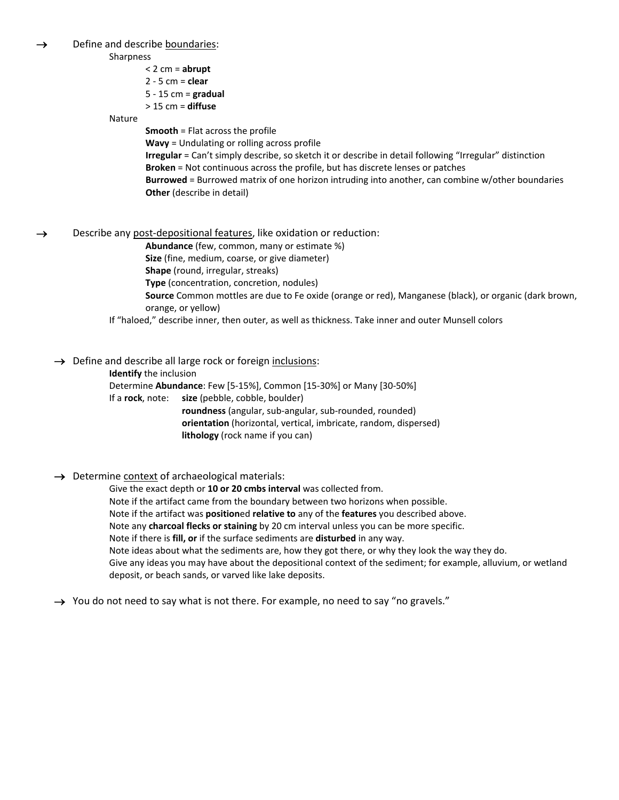→ Define and describe boundaries:

Sharpness

< 2 cm = **abrupt** 2 - 5 cm = **clear** 5 - 15 cm = **gradual** > 15 cm = **diffuse**

Nature

**Smooth** = Flat across the profile

**Wavy** = Undulating or rolling across profile

**Irregular** = Can't simply describe, so sketch it or describe in detail following "Irregular" distinction **Broken** = Not continuous across the profile, but has discrete lenses or patches **Burrowed** = Burrowed matrix of one horizon intruding into another, can combine w/other boundaries **Other** (describe in detail)

→ Describe any post-depositional features, like oxidation or reduction:

**Abundance** (few, common, many or estimate %)

**Size** (fine, medium, coarse, or give diameter)

**Shape** (round, irregular, streaks)

**Type** (concentration, concretion, nodules)

**Source** Common mottles are due to Fe oxide (orange or red), Manganese (black), or organic (dark brown, orange, or yellow)

If "haloed," describe inner, then outer, as well as thickness. Take inner and outer Munsell colors

→ Define and describe all large rock or foreign inclusions:

**Identify** the inclusion

Determine **Abundance**: Few [5-15%], Common [15-30%] or Many [30-50%] If a **rock**, note: **size** (pebble, cobble, boulder) **roundness** (angular, sub-angular, sub-rounded, rounded) **orientation** (horizontal, vertical, imbricate, random, dispersed) **lithology** (rock name if you can)

## → Determine context of archaeological materials:

Give the exact depth or **10 or 20 cmbs interval** was collected from. Note if the artifact came from the boundary between two horizons when possible. Note if the artifact was **position**ed **relative to** any of the **features** you described above. Note any **charcoal flecks or staining** by 20 cm interval unless you can be more specific. Note if there is **fill, or** if the surface sediments are **disturbed** in any way. Note ideas about what the sediments are, how they got there, or why they look the way they do. Give any ideas you may have about the depositional context of the sediment; for example, alluvium, or wetland deposit, or beach sands, or varved like lake deposits.

→ You do not need to say what is not there. For example, no need to say "no gravels."